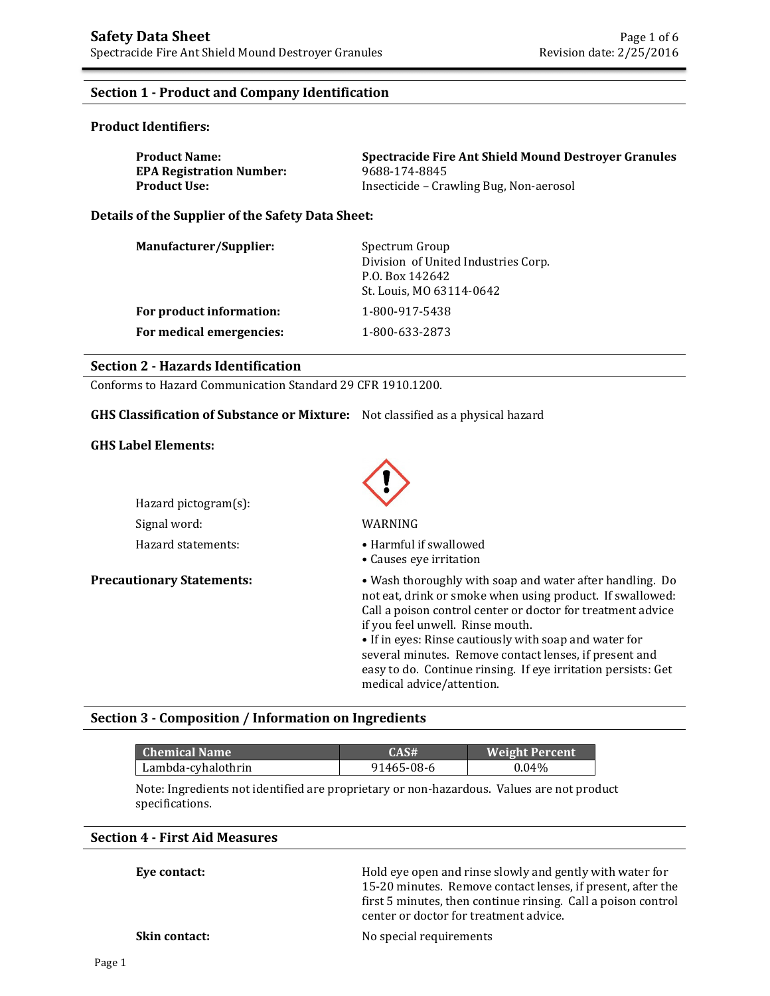## **Section 1 - Product and Company Identification**

### **Product Identifiers:**

| <b>Product Name:</b>            | <b>Spectracide Fire Ant Shield Mound Destroyer Granules</b> |
|---------------------------------|-------------------------------------------------------------|
| <b>EPA Registration Number:</b> | 9688-174-8845                                               |
| Product Use: .                  | Insecticide – Crawling Bug, Non-aerosol                     |

**Details of the Supplier of the Safety Data Sheet:** 

| Manufacturer/Supplier:   | Spectrum Group<br>Division of United Industries Corp.<br>P.O. Box 142642<br>St. Louis, MO 63114-0642 |
|--------------------------|------------------------------------------------------------------------------------------------------|
| For product information: | 1-800-917-5438                                                                                       |
| For medical emergencies: | 1-800-633-2873                                                                                       |

### **Section 2 - Hazards Identification**

Conforms to Hazard Communication Standard 29 CFR 1910.1200.

### **GHS Classification of Substance or Mixture:** Not classified as a physical hazard

### **GHS Label Elements:**

| Hazard pictogram $(s)$ : |                   |
|--------------------------|-------------------|
| Signal word:             | WARNING           |
| Hazard statements:       | $\bullet$ Harmful |



- Hazard statements: • Harmful if swallowed
	- Causes eye irritation

**Precautionary Statements:** • **•** Wash thoroughly with soap and water after handling. Do not eat, drink or smoke when using product. If swallowed: Call a poison control center or doctor for treatment advice if you feel unwell. Rinse mouth.

> • If in eyes: Rinse cautiously with soap and water for several minutes. Remove contact lenses, if present and easy to do. Continue rinsing. If eye irritation persists: Get medical advice/attention.

### **Section 3 - Composition / Information on Ingredients**

| Chemical Name '    | CAS#       | <b>Weight Percent</b> |
|--------------------|------------|-----------------------|
| Lambda-cyhalothrin | 91465-08-6 | $0.04\%$              |

Note: Ingredients not identified are proprietary or non-hazardous. Values are not product specifications.

### **Section 4 - First Aid Measures**

| Eye contact:         | Hold eye open and rinse slowly and gently with water for<br>15-20 minutes. Remove contact lenses, if present, after the<br>first 5 minutes, then continue rinsing. Call a poison control<br>center or doctor for treatment advice. |
|----------------------|------------------------------------------------------------------------------------------------------------------------------------------------------------------------------------------------------------------------------------|
| <b>Skin contact:</b> | No special requirements                                                                                                                                                                                                            |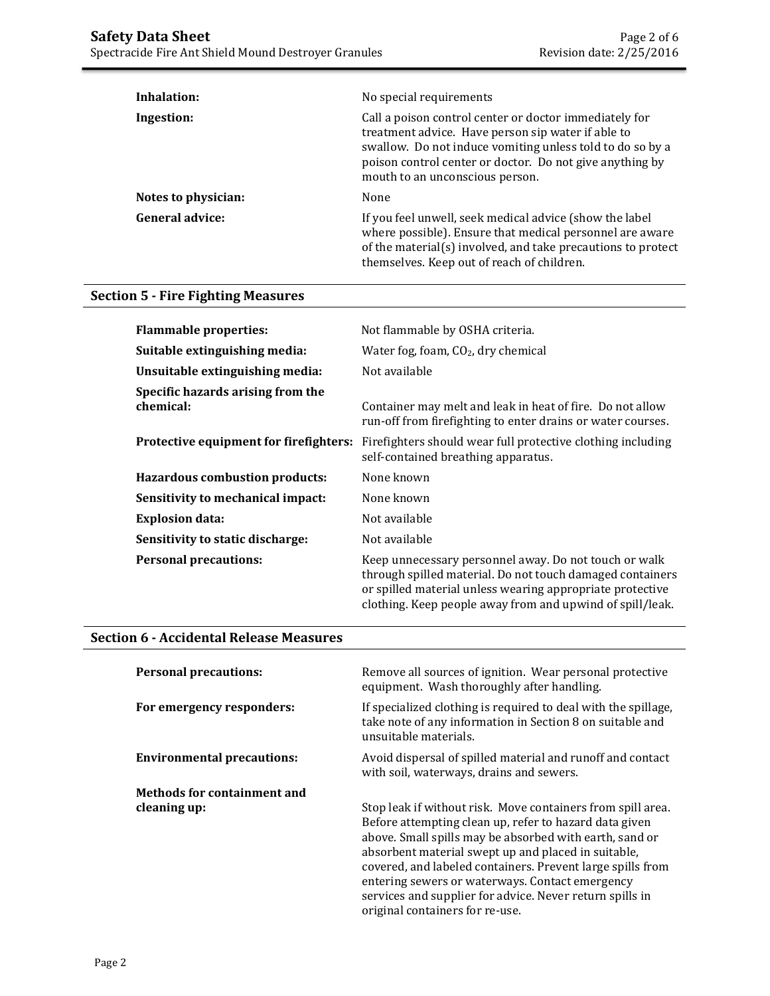| Inhalation:            | No special requirements                                                                                                                                                                                                                                                  |  |  |
|------------------------|--------------------------------------------------------------------------------------------------------------------------------------------------------------------------------------------------------------------------------------------------------------------------|--|--|
| Ingestion:             | Call a poison control center or doctor immediately for<br>treatment advice. Have person sip water if able to<br>swallow. Do not induce vomiting unless told to do so by a<br>poison control center or doctor. Do not give anything by<br>mouth to an unconscious person. |  |  |
| Notes to physician:    | None                                                                                                                                                                                                                                                                     |  |  |
| <b>General advice:</b> | If you feel unwell, seek medical advice (show the label<br>where possible). Ensure that medical personnel are aware<br>of the material(s) involved, and take precautions to protect<br>themselves. Keep out of reach of children.                                        |  |  |

# **Section 5 - Fire Fighting Measures**

| <b>Flammable properties:</b>                   | Not flammable by OSHA criteria.                                                                                                                                                                                                              |
|------------------------------------------------|----------------------------------------------------------------------------------------------------------------------------------------------------------------------------------------------------------------------------------------------|
| Suitable extinguishing media:                  | Water fog, foam, $CO2$ , dry chemical                                                                                                                                                                                                        |
| Unsuitable extinguishing media:                | Not available                                                                                                                                                                                                                                |
| Specific hazards arising from the<br>chemical: | Container may melt and leak in heat of fire. Do not allow<br>run-off from firefighting to enter drains or water courses.                                                                                                                     |
| Protective equipment for firefighters:         | Firefighters should wear full protective clothing including<br>self-contained breathing apparatus.                                                                                                                                           |
| Hazardous combustion products:                 | None known                                                                                                                                                                                                                                   |
| Sensitivity to mechanical impact:              | None known                                                                                                                                                                                                                                   |
| <b>Explosion data:</b>                         | Not available                                                                                                                                                                                                                                |
| Sensitivity to static discharge:               | Not available                                                                                                                                                                                                                                |
| <b>Personal precautions:</b>                   | Keep unnecessary personnel away. Do not touch or walk<br>through spilled material. Do not touch damaged containers<br>or spilled material unless wearing appropriate protective<br>clothing. Keep people away from and upwind of spill/leak. |

# **Section 6 - Accidental Release Measures**

| <b>Personal precautions:</b>                       | Remove all sources of ignition. Wear personal protective<br>equipment. Wash thoroughly after handling.                                                                                                                                                                                                                                                                                                                                                  |
|----------------------------------------------------|---------------------------------------------------------------------------------------------------------------------------------------------------------------------------------------------------------------------------------------------------------------------------------------------------------------------------------------------------------------------------------------------------------------------------------------------------------|
| For emergency responders:                          | If specialized clothing is required to deal with the spillage,<br>take note of any information in Section 8 on suitable and<br>unsuitable materials.                                                                                                                                                                                                                                                                                                    |
| <b>Environmental precautions:</b>                  | Avoid dispersal of spilled material and runoff and contact<br>with soil, waterways, drains and sewers.                                                                                                                                                                                                                                                                                                                                                  |
| <b>Methods for containment and</b><br>cleaning up: | Stop leak if without risk. Move containers from spill area.<br>Before attempting clean up, refer to hazard data given<br>above. Small spills may be absorbed with earth, sand or<br>absorbent material swept up and placed in suitable,<br>covered, and labeled containers. Prevent large spills from<br>entering sewers or waterways. Contact emergency<br>services and supplier for advice. Never return spills in<br>original containers for re-use. |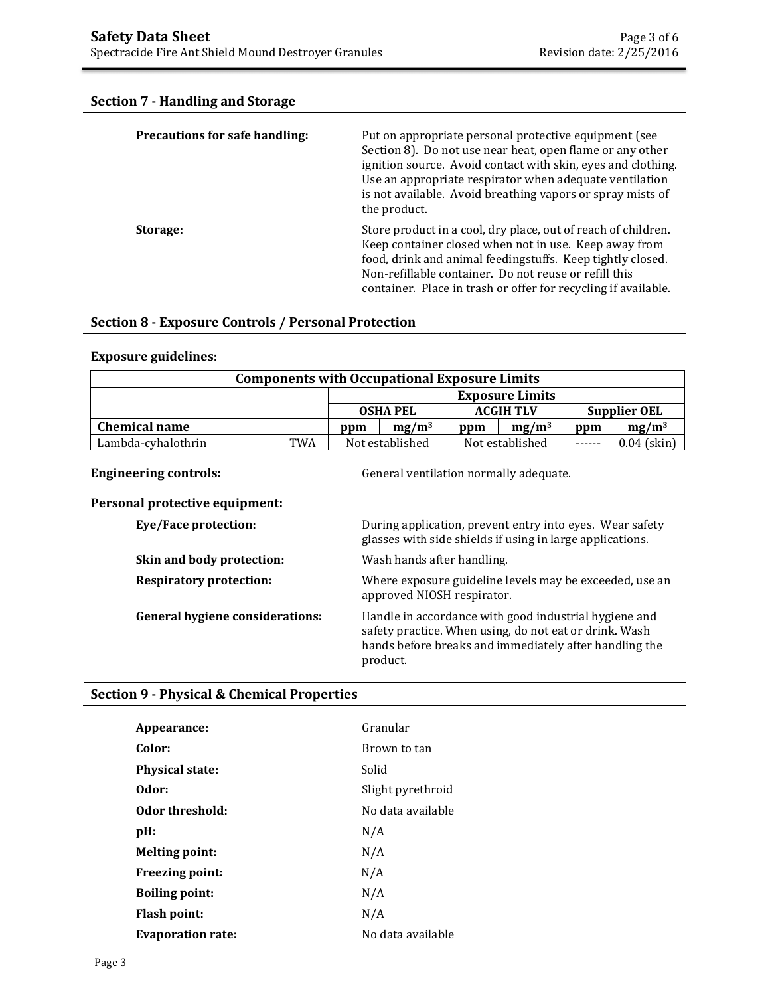# **Section 7 - Handling and Storage**

| <b>Precautions for safe handling:</b> | Put on appropriate personal protective equipment (see<br>Section 8). Do not use near heat, open flame or any other<br>ignition source. Avoid contact with skin, eyes and clothing.<br>Use an appropriate respirator when adequate ventilation<br>is not available. Avoid breathing vapors or spray mists of<br>the product. |
|---------------------------------------|-----------------------------------------------------------------------------------------------------------------------------------------------------------------------------------------------------------------------------------------------------------------------------------------------------------------------------|
| Storage:                              | Store product in a cool, dry place, out of reach of children.<br>Keep container closed when not in use. Keep away from<br>food, drink and animal feedingstuffs. Keep tightly closed.<br>Non-refillable container. Do not reuse or refill this<br>container. Place in trash or offer for recycling if available.             |

### **Section 8 - Exposure Controls / Personal Protection**

### **Exposure guidelines:**

| <b>Components with Occupational Exposure Limits</b> |            |                 |                                     |                 |                        |               |               |
|-----------------------------------------------------|------------|-----------------|-------------------------------------|-----------------|------------------------|---------------|---------------|
|                                                     |            |                 |                                     |                 | <b>Exposure Limits</b> |               |               |
|                                                     |            |                 | <b>OSHA PEL</b><br><b>ACGIH TLV</b> |                 | Supplier OEL           |               |               |
| <b>Chemical name</b>                                |            | ppm             | $mg/m^3$                            | ppm             | $mg/m^3$               | ppm           | $mg/m^3$      |
| Lambda-cyhalothrin                                  | <b>TWA</b> | Not established |                                     | Not established |                        | $- - - - - -$ | $0.04$ (skin) |

**Engineering controls: Controls: General ventilation normally adequate.** 

### **Personal protective equipment:**

| Eye/Face protection:                   | During application, prevent entry into eyes. Wear safety<br>glasses with side shields if using in large applications.                                                                 |
|----------------------------------------|---------------------------------------------------------------------------------------------------------------------------------------------------------------------------------------|
| Skin and body protection:              | Wash hands after handling.                                                                                                                                                            |
| <b>Respiratory protection:</b>         | Where exposure guideline levels may be exceeded, use an<br>approved NIOSH respirator.                                                                                                 |
| <b>General hygiene considerations:</b> | Handle in accordance with good industrial hygiene and<br>safety practice. When using, do not eat or drink. Wash<br>hands before breaks and immediately after handling the<br>product. |

# **Section 9 - Physical & Chemical Properties**

| Appearance:              | Granular          |
|--------------------------|-------------------|
| Color:                   | Brown to tan      |
| <b>Physical state:</b>   | Solid             |
| Odor:                    | Slight pyrethroid |
| Odor threshold:          | No data available |
| $pH$ :                   | N/A               |
| <b>Melting point:</b>    | N/A               |
| <b>Freezing point:</b>   | N/A               |
| <b>Boiling point:</b>    | N/A               |
| Flash point:             | N/A               |
| <b>Evaporation rate:</b> | No data available |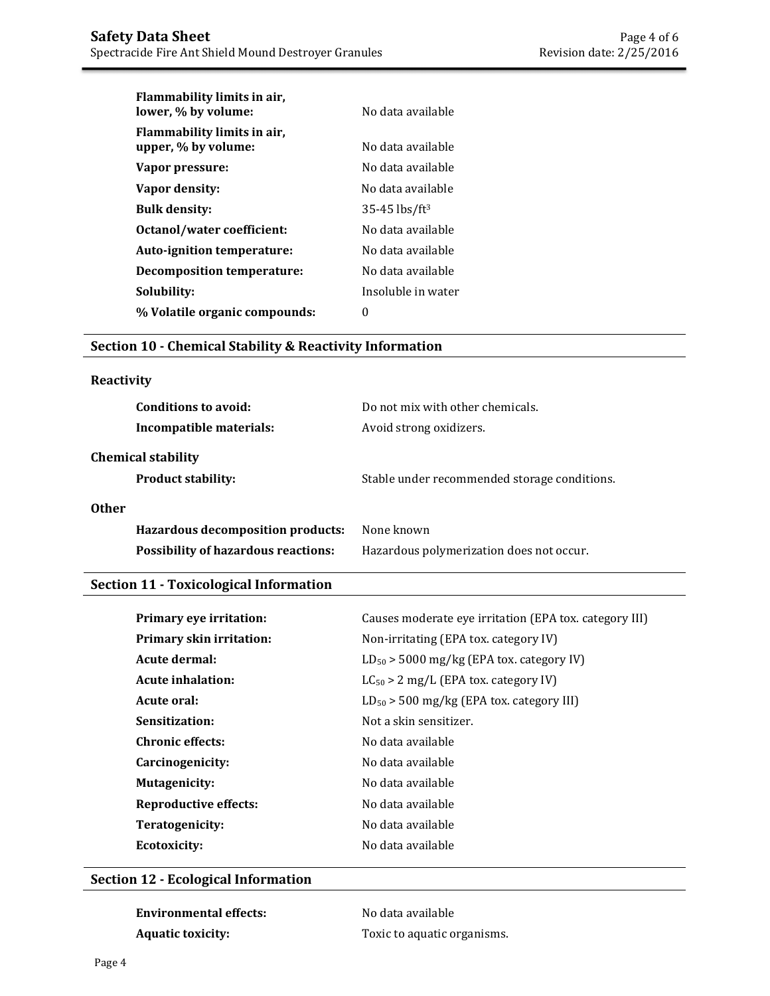| Flammability limits in air,<br>lower, % by volume: | No data available             |
|----------------------------------------------------|-------------------------------|
| Flammability limits in air,<br>upper, % by volume: | No data available             |
| Vapor pressure:                                    | No data available             |
| Vapor density:                                     | No data available             |
| <b>Bulk density:</b>                               | $35 - 45$ lbs/ft <sup>3</sup> |
| Octanol/water coefficient:                         | No data available             |
| Auto-ignition temperature:                         | No data available             |
| Decomposition temperature:                         | No data available             |
| Solubility:                                        | Insoluble in water            |
| % Volatile organic compounds:                      | 0                             |

## **Section 10 - Chemical Stability & Reactivity Information**

## **Reactivity**

| Conditions to avoid:<br>Incompatible materials:                                                 | Do not mix with other chemicals.<br>Avoid strong oxidizers. |
|-------------------------------------------------------------------------------------------------|-------------------------------------------------------------|
| <b>Chemical stability</b><br><b>Product stability:</b>                                          | Stable under recommended storage conditions.                |
| <b>Other</b><br>Hazardous decomposition products:<br><b>Possibility of hazardous reactions:</b> | None known<br>Hazardous polymerization does not occur.      |

# **Section 11 - Toxicological Information**

| Primary eye irritation:         | Causes moderate eye irritation (EPA tox. category III) |
|---------------------------------|--------------------------------------------------------|
| <b>Primary skin irritation:</b> | Non-irritating (EPA tox. category IV)                  |
| Acute dermal:                   | $LD_{50}$ > 5000 mg/kg (EPA tox. category IV)          |
| <b>Acute inhalation:</b>        | $LC_{50} > 2$ mg/L (EPA tox. category IV)              |
| Acute oral:                     | $LD_{50}$ > 500 mg/kg (EPA tox. category III)          |
| Sensitization:                  | Not a skin sensitizer.                                 |
| <b>Chronic effects:</b>         | No data available                                      |
| Carcinogenicity:                | No data available                                      |
| <b>Mutagenicity:</b>            | No data available                                      |
| <b>Reproductive effects:</b>    | No data available                                      |
| Teratogenicity:                 | No data available                                      |
| Ecotoxicity:                    | No data available                                      |

## **Section 12 - Ecological Information**

| Environmental effects:   | No data available           |
|--------------------------|-----------------------------|
| <b>Aquatic toxicity:</b> | Toxic to aquatic organisms. |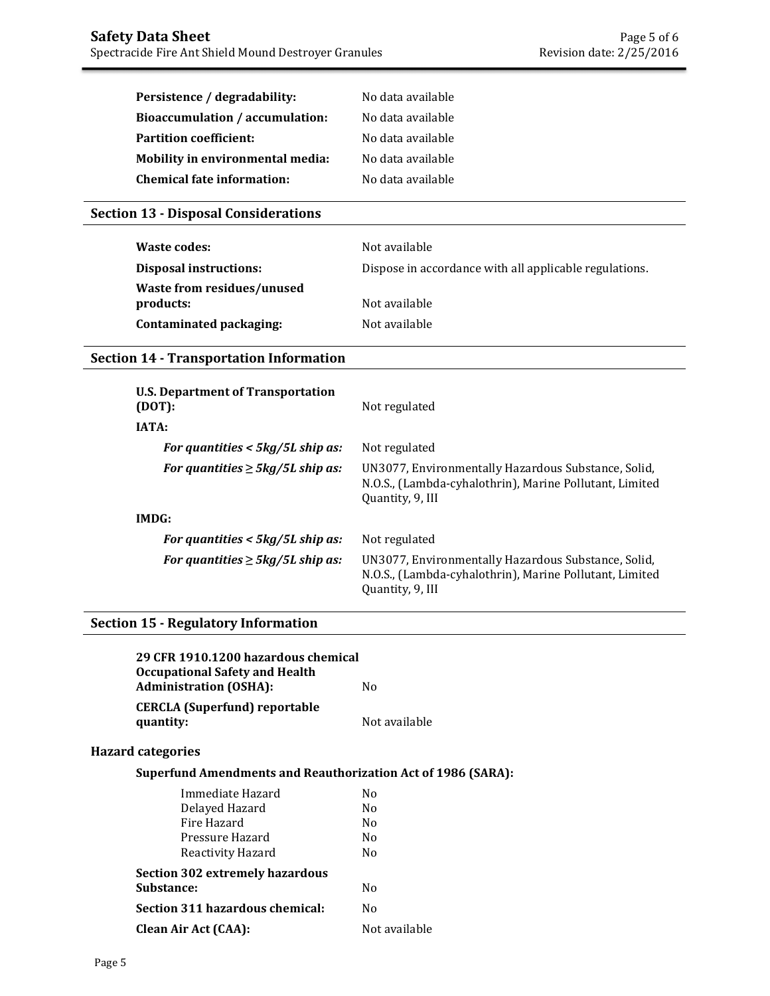| Persistence / degradability:     | No data available |
|----------------------------------|-------------------|
| Bioaccumulation / accumulation:  | No data available |
| <b>Partition coefficient:</b>    | No data available |
| Mobility in environmental media: | No data available |
| Chemical fate information:       | No data available |

## **Section 13 - Disposal Considerations**

| Waste codes:                            | Not available                                          |
|-----------------------------------------|--------------------------------------------------------|
| <b>Disposal instructions:</b>           | Dispose in accordance with all applicable regulations. |
| Waste from residues/unused<br>products: | Not available                                          |
| Contaminated packaging:                 | Not available                                          |

# **Section 14 - Transportation Information**

| <b>U.S. Department of Transportation</b><br>(DOT): | Not regulated                                                                                                                      |
|----------------------------------------------------|------------------------------------------------------------------------------------------------------------------------------------|
| <b>IATA:</b>                                       |                                                                                                                                    |
| For quantities $<$ 5kg/5L ship as:                 | Not regulated                                                                                                                      |
| For quantities $\geq$ 5kg/5L ship as:              | UN3077, Environmentally Hazardous Substance, Solid,<br>N.O.S., (Lambda-cyhalothrin), Marine Pollutant, Limited<br>Quantity, 9, III |
| IMDG:                                              |                                                                                                                                    |
| For quantities $<$ 5kg/5L ship as:                 | Not regulated                                                                                                                      |
| For quantities $\geq$ 5kg/5L ship as:              | UN3077, Environmentally Hazardous Substance, Solid,<br>N.O.S., (Lambda-cyhalothrin), Marine Pollutant, Limited<br>Quantity, 9, III |

# **Section 15 - Regulatory Information**

|                          | 29 CFR 1910.1200 hazardous chemical<br><b>Occupational Safety and Health</b><br><b>Administration (OSHA):</b> | N <sub>0</sub> |
|--------------------------|---------------------------------------------------------------------------------------------------------------|----------------|
|                          | <b>CERCLA</b> (Superfund) reportable<br>quantity:                                                             | Not available  |
| <b>Hazard categories</b> |                                                                                                               |                |
|                          | <b>Superfund Amendments and Reauthorization Act of 1986 (SARA):</b>                                           |                |
|                          | Immediate Hazard                                                                                              | N <sub>0</sub> |
|                          | Delayed Hazard                                                                                                | N <sub>0</sub> |
|                          | Fire Hazard                                                                                                   | No.            |
|                          | Pressure Hazard                                                                                               | N <sub>0</sub> |
|                          | Reactivity Hazard                                                                                             | N <sub>0</sub> |
|                          | <b>Section 302 extremely hazardous</b>                                                                        |                |
|                          | Substance:                                                                                                    | N <sub>0</sub> |
|                          | Section 311 hazardous chemical:                                                                               | N <sub>0</sub> |
|                          | Clean Air Act (CAA):                                                                                          | Not available  |